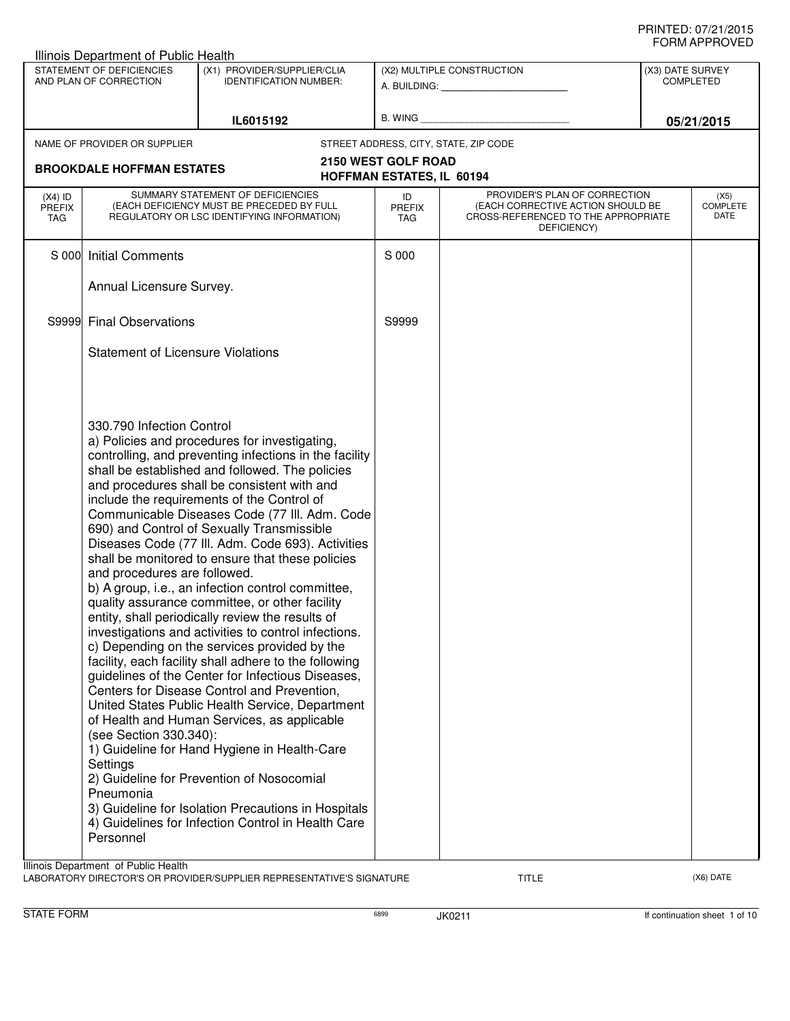|                                                                                                                     | Illinois Department of Public Health                                                                                                                              |                                                                                                                                                                                                                                                                                                                                                                                                                                                                                                                                                                                                                                                                                                                                                                                                                                                                                                                                                                                                                                                                                                                                                                                                             |                                                  |                                                                                                                          |  |                                 |
|---------------------------------------------------------------------------------------------------------------------|-------------------------------------------------------------------------------------------------------------------------------------------------------------------|-------------------------------------------------------------------------------------------------------------------------------------------------------------------------------------------------------------------------------------------------------------------------------------------------------------------------------------------------------------------------------------------------------------------------------------------------------------------------------------------------------------------------------------------------------------------------------------------------------------------------------------------------------------------------------------------------------------------------------------------------------------------------------------------------------------------------------------------------------------------------------------------------------------------------------------------------------------------------------------------------------------------------------------------------------------------------------------------------------------------------------------------------------------------------------------------------------------|--------------------------------------------------|--------------------------------------------------------------------------------------------------------------------------|--|---------------------------------|
| STATEMENT OF DEFICIENCIES<br>(X1) PROVIDER/SUPPLIER/CLIA<br>AND PLAN OF CORRECTION<br><b>IDENTIFICATION NUMBER:</b> |                                                                                                                                                                   |                                                                                                                                                                                                                                                                                                                                                                                                                                                                                                                                                                                                                                                                                                                                                                                                                                                                                                                                                                                                                                                                                                                                                                                                             | (X2) MULTIPLE CONSTRUCTION                       | (X3) DATE SURVEY<br><b>COMPLETED</b>                                                                                     |  |                                 |
|                                                                                                                     |                                                                                                                                                                   | IL6015192                                                                                                                                                                                                                                                                                                                                                                                                                                                                                                                                                                                                                                                                                                                                                                                                                                                                                                                                                                                                                                                                                                                                                                                                   | B. WING                                          |                                                                                                                          |  | 05/21/2015                      |
|                                                                                                                     | NAME OF PROVIDER OR SUPPLIER                                                                                                                                      |                                                                                                                                                                                                                                                                                                                                                                                                                                                                                                                                                                                                                                                                                                                                                                                                                                                                                                                                                                                                                                                                                                                                                                                                             |                                                  | STREET ADDRESS, CITY, STATE, ZIP CODE                                                                                    |  |                                 |
|                                                                                                                     | <b>BROOKDALE HOFFMAN ESTATES</b>                                                                                                                                  |                                                                                                                                                                                                                                                                                                                                                                                                                                                                                                                                                                                                                                                                                                                                                                                                                                                                                                                                                                                                                                                                                                                                                                                                             | 2150 WEST GOLF ROAD<br>HOFFMAN ESTATES, IL 60194 |                                                                                                                          |  |                                 |
| $(X4)$ ID<br><b>PREFIX</b><br>TAG                                                                                   |                                                                                                                                                                   | SUMMARY STATEMENT OF DEFICIENCIES<br>(EACH DEFICIENCY MUST BE PRECEDED BY FULL<br>REGULATORY OR LSC IDENTIFYING INFORMATION)                                                                                                                                                                                                                                                                                                                                                                                                                                                                                                                                                                                                                                                                                                                                                                                                                                                                                                                                                                                                                                                                                | ID<br><b>PREFIX</b><br><b>TAG</b>                | PROVIDER'S PLAN OF CORRECTION<br>(EACH CORRECTIVE ACTION SHOULD BE<br>CROSS-REFERENCED TO THE APPROPRIATE<br>DEFICIENCY) |  | (X5)<br><b>COMPLETE</b><br>DATE |
| S 000                                                                                                               | <b>Initial Comments</b>                                                                                                                                           |                                                                                                                                                                                                                                                                                                                                                                                                                                                                                                                                                                                                                                                                                                                                                                                                                                                                                                                                                                                                                                                                                                                                                                                                             | S 000                                            |                                                                                                                          |  |                                 |
|                                                                                                                     | Annual Licensure Survey.                                                                                                                                          |                                                                                                                                                                                                                                                                                                                                                                                                                                                                                                                                                                                                                                                                                                                                                                                                                                                                                                                                                                                                                                                                                                                                                                                                             |                                                  |                                                                                                                          |  |                                 |
|                                                                                                                     | S9999 Final Observations                                                                                                                                          |                                                                                                                                                                                                                                                                                                                                                                                                                                                                                                                                                                                                                                                                                                                                                                                                                                                                                                                                                                                                                                                                                                                                                                                                             | S9999                                            |                                                                                                                          |  |                                 |
|                                                                                                                     | <b>Statement of Licensure Violations</b>                                                                                                                          |                                                                                                                                                                                                                                                                                                                                                                                                                                                                                                                                                                                                                                                                                                                                                                                                                                                                                                                                                                                                                                                                                                                                                                                                             |                                                  |                                                                                                                          |  |                                 |
|                                                                                                                     | 330.790 Infection Control<br>and procedures are followed.<br>(see Section 330.340):<br>Settings<br>Pneumonia<br>Personnel<br>Illinois Department of Public Health | a) Policies and procedures for investigating,<br>controlling, and preventing infections in the facility<br>shall be established and followed. The policies<br>and procedures shall be consistent with and<br>include the requirements of the Control of<br>Communicable Diseases Code (77 III. Adm. Code<br>690) and Control of Sexually Transmissible<br>Diseases Code (77 III. Adm. Code 693). Activities<br>shall be monitored to ensure that these policies<br>b) A group, i.e., an infection control committee,<br>quality assurance committee, or other facility<br>entity, shall periodically review the results of<br>investigations and activities to control infections.<br>c) Depending on the services provided by the<br>facility, each facility shall adhere to the following<br>guidelines of the Center for Infectious Diseases,<br>Centers for Disease Control and Prevention,<br>United States Public Health Service, Department<br>of Health and Human Services, as applicable<br>1) Guideline for Hand Hygiene in Health-Care<br>2) Guideline for Prevention of Nosocomial<br>3) Guideline for Isolation Precautions in Hospitals<br>4) Guidelines for Infection Control in Health Care |                                                  |                                                                                                                          |  |                                 |
|                                                                                                                     |                                                                                                                                                                   | LABORATORY DIRECTOR'S OR PROVIDER/SUPPLIER REPRESENTATIVE'S SIGNATURE                                                                                                                                                                                                                                                                                                                                                                                                                                                                                                                                                                                                                                                                                                                                                                                                                                                                                                                                                                                                                                                                                                                                       |                                                  | TITLE                                                                                                                    |  | (X6) DATE                       |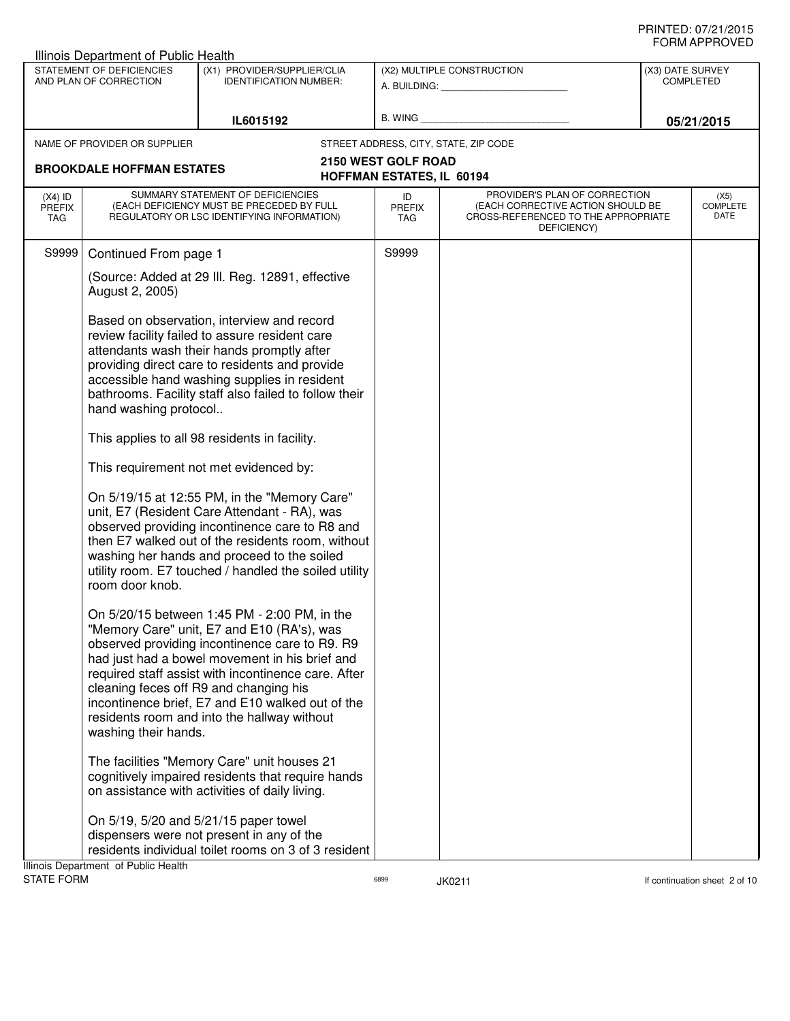|                                                                                                                     | Illinois Department of Public Health |                                                                                                                                                                                                                                                                                                                                                                                                    |                                                         |                                                                                                                          |  |                                 |
|---------------------------------------------------------------------------------------------------------------------|--------------------------------------|----------------------------------------------------------------------------------------------------------------------------------------------------------------------------------------------------------------------------------------------------------------------------------------------------------------------------------------------------------------------------------------------------|---------------------------------------------------------|--------------------------------------------------------------------------------------------------------------------------|--|---------------------------------|
| STATEMENT OF DEFICIENCIES<br>(X1) PROVIDER/SUPPLIER/CLIA<br>AND PLAN OF CORRECTION<br><b>IDENTIFICATION NUMBER:</b> |                                      |                                                                                                                                                                                                                                                                                                                                                                                                    | (X2) MULTIPLE CONSTRUCTION                              | (X3) DATE SURVEY<br><b>COMPLETED</b>                                                                                     |  |                                 |
|                                                                                                                     |                                      |                                                                                                                                                                                                                                                                                                                                                                                                    | A. BUILDING: A. BUILDING:                               |                                                                                                                          |  |                                 |
|                                                                                                                     |                                      | IL6015192                                                                                                                                                                                                                                                                                                                                                                                          | B. WING                                                 |                                                                                                                          |  | 05/21/2015                      |
|                                                                                                                     | NAME OF PROVIDER OR SUPPLIER         |                                                                                                                                                                                                                                                                                                                                                                                                    |                                                         | STREET ADDRESS, CITY, STATE, ZIP CODE                                                                                    |  |                                 |
|                                                                                                                     | <b>BROOKDALE HOFFMAN ESTATES</b>     |                                                                                                                                                                                                                                                                                                                                                                                                    | 2150 WEST GOLF ROAD<br><b>HOFFMAN ESTATES, IL 60194</b> |                                                                                                                          |  |                                 |
|                                                                                                                     |                                      |                                                                                                                                                                                                                                                                                                                                                                                                    |                                                         |                                                                                                                          |  |                                 |
| $(X4)$ ID<br><b>PREFIX</b><br>TAG                                                                                   |                                      | SUMMARY STATEMENT OF DEFICIENCIES<br>(EACH DEFICIENCY MUST BE PRECEDED BY FULL<br>REGULATORY OR LSC IDENTIFYING INFORMATION)                                                                                                                                                                                                                                                                       | ID<br>PREFIX<br>TAG                                     | PROVIDER'S PLAN OF CORRECTION<br>(EACH CORRECTIVE ACTION SHOULD BE<br>CROSS-REFERENCED TO THE APPROPRIATE<br>DEFICIENCY) |  | (X5)<br><b>COMPLETE</b><br>DATE |
| S9999                                                                                                               | Continued From page 1                |                                                                                                                                                                                                                                                                                                                                                                                                    | S9999                                                   |                                                                                                                          |  |                                 |
|                                                                                                                     | August 2, 2005)                      | (Source: Added at 29 III. Reg. 12891, effective                                                                                                                                                                                                                                                                                                                                                    |                                                         |                                                                                                                          |  |                                 |
|                                                                                                                     | hand washing protocol                | Based on observation, interview and record<br>review facility failed to assure resident care<br>attendants wash their hands promptly after<br>providing direct care to residents and provide<br>accessible hand washing supplies in resident<br>bathrooms. Facility staff also failed to follow their                                                                                              |                                                         |                                                                                                                          |  |                                 |
|                                                                                                                     |                                      | This applies to all 98 residents in facility.                                                                                                                                                                                                                                                                                                                                                      |                                                         |                                                                                                                          |  |                                 |
|                                                                                                                     |                                      | This requirement not met evidenced by:                                                                                                                                                                                                                                                                                                                                                             |                                                         |                                                                                                                          |  |                                 |
|                                                                                                                     | room door knob.                      | On 5/19/15 at 12:55 PM, in the "Memory Care"<br>unit, E7 (Resident Care Attendant - RA), was<br>observed providing incontinence care to R8 and<br>then E7 walked out of the residents room, without<br>washing her hands and proceed to the soiled<br>utility room. E7 touched / handled the soiled utility                                                                                        |                                                         |                                                                                                                          |  |                                 |
|                                                                                                                     | washing their hands.                 | On 5/20/15 between 1:45 PM - 2:00 PM, in the<br>"Memory Care" unit, E7 and E10 (RA's), was<br>observed providing incontinence care to R9. R9<br>had just had a bowel movement in his brief and<br>required staff assist with incontinence care. After<br>cleaning feces off R9 and changing his<br>incontinence brief, E7 and E10 walked out of the<br>residents room and into the hallway without |                                                         |                                                                                                                          |  |                                 |
|                                                                                                                     |                                      | The facilities "Memory Care" unit houses 21<br>cognitively impaired residents that require hands<br>on assistance with activities of daily living.                                                                                                                                                                                                                                                 |                                                         |                                                                                                                          |  |                                 |
|                                                                                                                     | Ilinois Department of Public Health  | On 5/19, 5/20 and 5/21/15 paper towel<br>dispensers were not present in any of the<br>residents individual toilet rooms on 3 of 3 resident                                                                                                                                                                                                                                                         |                                                         |                                                                                                                          |  |                                 |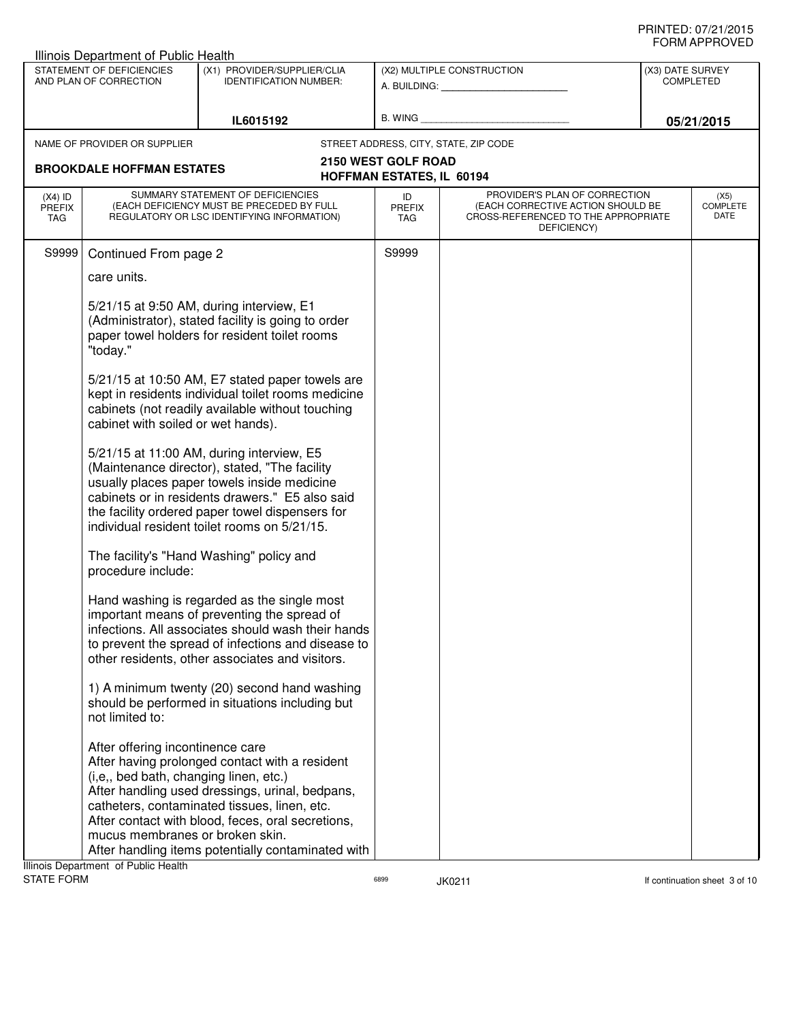|                                                     | Illinois Department of Public Health                                                                                                                  |                                                                                                                                                                                                                                                                                                 |                                  |                                                                                                                                              |                  |                                 |
|-----------------------------------------------------|-------------------------------------------------------------------------------------------------------------------------------------------------------|-------------------------------------------------------------------------------------------------------------------------------------------------------------------------------------------------------------------------------------------------------------------------------------------------|----------------------------------|----------------------------------------------------------------------------------------------------------------------------------------------|------------------|---------------------------------|
| STATEMENT OF DEFICIENCIES<br>AND PLAN OF CORRECTION |                                                                                                                                                       | (X1) PROVIDER/SUPPLIER/CLIA<br><b>IDENTIFICATION NUMBER:</b>                                                                                                                                                                                                                                    |                                  | (X2) MULTIPLE CONSTRUCTION<br>A. BUILDING: A SALE AND THE SALE AND THE SALE AND THE SALE AND THE SALE AND THE SALE AND THE SALE AND THE SALE | (X3) DATE SURVEY | <b>COMPLETED</b>                |
|                                                     |                                                                                                                                                       | IL6015192                                                                                                                                                                                                                                                                                       | B. WING                          |                                                                                                                                              |                  | 05/21/2015                      |
|                                                     | NAME OF PROVIDER OR SUPPLIER                                                                                                                          |                                                                                                                                                                                                                                                                                                 |                                  | STREET ADDRESS, CITY, STATE, ZIP CODE                                                                                                        |                  |                                 |
|                                                     | <b>BROOKDALE HOFFMAN ESTATES</b>                                                                                                                      |                                                                                                                                                                                                                                                                                                 | 2150 WEST GOLF ROAD              |                                                                                                                                              |                  |                                 |
|                                                     |                                                                                                                                                       |                                                                                                                                                                                                                                                                                                 | <b>HOFFMAN ESTATES, IL 60194</b> |                                                                                                                                              |                  |                                 |
| $(X4)$ ID<br><b>PREFIX</b><br><b>TAG</b>            |                                                                                                                                                       | SUMMARY STATEMENT OF DEFICIENCIES<br>(EACH DEFICIENCY MUST BE PRECEDED BY FULL<br>REGULATORY OR LSC IDENTIFYING INFORMATION)                                                                                                                                                                    | ID<br>PREFIX<br><b>TAG</b>       | PROVIDER'S PLAN OF CORRECTION<br>(EACH CORRECTIVE ACTION SHOULD BE<br>CROSS-REFERENCED TO THE APPROPRIATE<br>DEFICIENCY)                     |                  | (X5)<br><b>COMPLETE</b><br>DATE |
| S9999                                               | Continued From page 2                                                                                                                                 |                                                                                                                                                                                                                                                                                                 | S9999                            |                                                                                                                                              |                  |                                 |
|                                                     | care units.                                                                                                                                           |                                                                                                                                                                                                                                                                                                 |                                  |                                                                                                                                              |                  |                                 |
|                                                     | "today."                                                                                                                                              | 5/21/15 at 9:50 AM, during interview, E1<br>(Administrator), stated facility is going to order<br>paper towel holders for resident toilet rooms                                                                                                                                                 |                                  |                                                                                                                                              |                  |                                 |
|                                                     | cabinet with soiled or wet hands).                                                                                                                    | 5/21/15 at 10:50 AM, E7 stated paper towels are<br>kept in residents individual toilet rooms medicine<br>cabinets (not readily available without touching                                                                                                                                       |                                  |                                                                                                                                              |                  |                                 |
|                                                     |                                                                                                                                                       | 5/21/15 at 11:00 AM, during interview, E5<br>(Maintenance director), stated, "The facility<br>usually places paper towels inside medicine<br>cabinets or in residents drawers." E5 also said<br>the facility ordered paper towel dispensers for<br>individual resident toilet rooms on 5/21/15. |                                  |                                                                                                                                              |                  |                                 |
|                                                     | procedure include:                                                                                                                                    | The facility's "Hand Washing" policy and                                                                                                                                                                                                                                                        |                                  |                                                                                                                                              |                  |                                 |
|                                                     |                                                                                                                                                       | Hand washing is regarded as the single most<br>important means of preventing the spread of<br>infections. All associates should wash their hands<br>to prevent the spread of infections and disease to<br>other residents, other associates and visitors.                                       |                                  |                                                                                                                                              |                  |                                 |
|                                                     | not limited to:                                                                                                                                       | 1) A minimum twenty (20) second hand washing<br>should be performed in situations including but                                                                                                                                                                                                 |                                  |                                                                                                                                              |                  |                                 |
|                                                     | After offering incontinence care<br>(i,e,, bed bath, changing linen, etc.)<br>mucus membranes or broken skin.<br>Illinois Department of Public Health | After having prolonged contact with a resident<br>After handling used dressings, urinal, bedpans,<br>catheters, contaminated tissues, linen, etc.<br>After contact with blood, feces, oral secretions,<br>After handling items potentially contaminated with                                    |                                  |                                                                                                                                              |                  |                                 |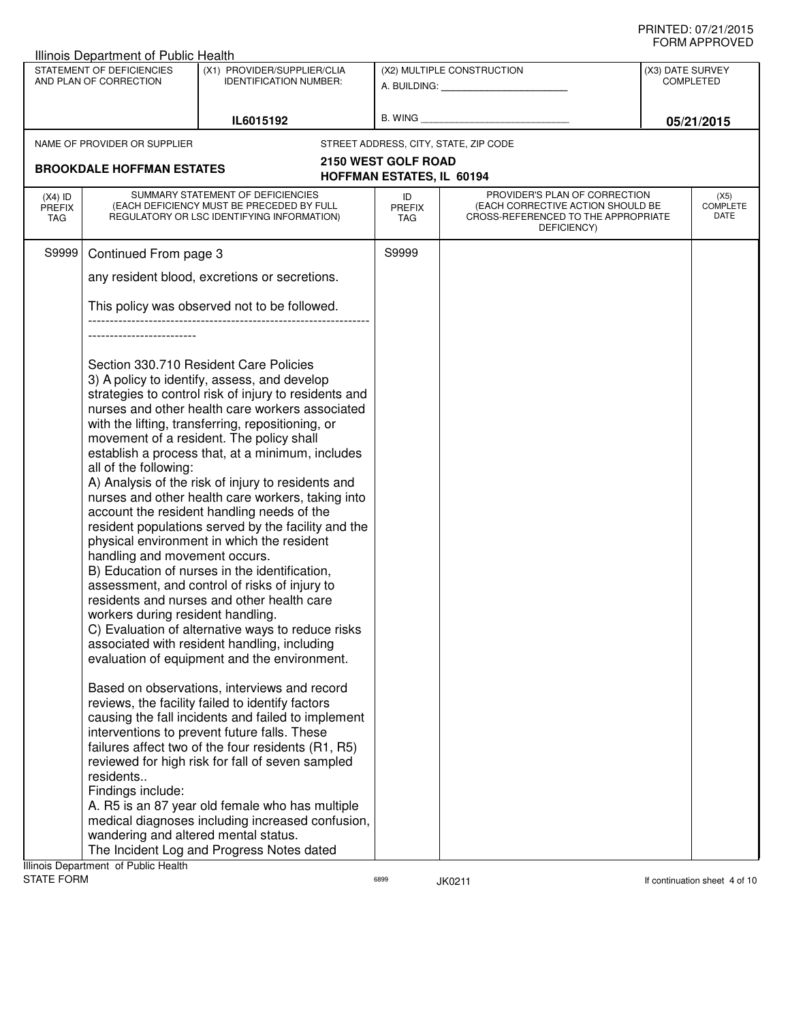|                                                                                                                     | Illinois Department of Public Health                                                                           |                                                                                                                                                                                                                                                                                                                                                                                                                                                                                                                                                                                                                                                                                                                                                                                                                                                                                                                            |                                                         |                                                                                                                          |                                      |                                 |
|---------------------------------------------------------------------------------------------------------------------|----------------------------------------------------------------------------------------------------------------|----------------------------------------------------------------------------------------------------------------------------------------------------------------------------------------------------------------------------------------------------------------------------------------------------------------------------------------------------------------------------------------------------------------------------------------------------------------------------------------------------------------------------------------------------------------------------------------------------------------------------------------------------------------------------------------------------------------------------------------------------------------------------------------------------------------------------------------------------------------------------------------------------------------------------|---------------------------------------------------------|--------------------------------------------------------------------------------------------------------------------------|--------------------------------------|---------------------------------|
| STATEMENT OF DEFICIENCIES<br>(X1) PROVIDER/SUPPLIER/CLIA<br>AND PLAN OF CORRECTION<br><b>IDENTIFICATION NUMBER:</b> |                                                                                                                |                                                                                                                                                                                                                                                                                                                                                                                                                                                                                                                                                                                                                                                                                                                                                                                                                                                                                                                            | (X2) MULTIPLE CONSTRUCTION<br>A. BUILDING: A. BUILDING: |                                                                                                                          | (X3) DATE SURVEY<br><b>COMPLETED</b> |                                 |
|                                                                                                                     |                                                                                                                | IL6015192                                                                                                                                                                                                                                                                                                                                                                                                                                                                                                                                                                                                                                                                                                                                                                                                                                                                                                                  | B. WING                                                 |                                                                                                                          |                                      | 05/21/2015                      |
|                                                                                                                     | NAME OF PROVIDER OR SUPPLIER                                                                                   |                                                                                                                                                                                                                                                                                                                                                                                                                                                                                                                                                                                                                                                                                                                                                                                                                                                                                                                            |                                                         | STREET ADDRESS, CITY, STATE, ZIP CODE                                                                                    |                                      |                                 |
|                                                                                                                     | <b>BROOKDALE HOFFMAN ESTATES</b>                                                                               |                                                                                                                                                                                                                                                                                                                                                                                                                                                                                                                                                                                                                                                                                                                                                                                                                                                                                                                            | 2150 WEST GOLF ROAD                                     |                                                                                                                          |                                      |                                 |
|                                                                                                                     |                                                                                                                |                                                                                                                                                                                                                                                                                                                                                                                                                                                                                                                                                                                                                                                                                                                                                                                                                                                                                                                            | <b>HOFFMAN ESTATES, IL 60194</b>                        |                                                                                                                          |                                      |                                 |
| $(X4)$ ID<br><b>PREFIX</b><br>TAG                                                                                   |                                                                                                                | SUMMARY STATEMENT OF DEFICIENCIES<br>(EACH DEFICIENCY MUST BE PRECEDED BY FULL<br>REGULATORY OR LSC IDENTIFYING INFORMATION)                                                                                                                                                                                                                                                                                                                                                                                                                                                                                                                                                                                                                                                                                                                                                                                               | ID<br><b>PREFIX</b><br>TAG                              | PROVIDER'S PLAN OF CORRECTION<br>(EACH CORRECTIVE ACTION SHOULD BE<br>CROSS-REFERENCED TO THE APPROPRIATE<br>DEFICIENCY) |                                      | (X5)<br><b>COMPLETE</b><br>DATE |
| S9999                                                                                                               | Continued From page 3                                                                                          |                                                                                                                                                                                                                                                                                                                                                                                                                                                                                                                                                                                                                                                                                                                                                                                                                                                                                                                            | S9999                                                   |                                                                                                                          |                                      |                                 |
|                                                                                                                     |                                                                                                                | any resident blood, excretions or secretions.                                                                                                                                                                                                                                                                                                                                                                                                                                                                                                                                                                                                                                                                                                                                                                                                                                                                              |                                                         |                                                                                                                          |                                      |                                 |
|                                                                                                                     |                                                                                                                | This policy was observed not to be followed.                                                                                                                                                                                                                                                                                                                                                                                                                                                                                                                                                                                                                                                                                                                                                                                                                                                                               |                                                         |                                                                                                                          |                                      |                                 |
|                                                                                                                     | -----------------------                                                                                        |                                                                                                                                                                                                                                                                                                                                                                                                                                                                                                                                                                                                                                                                                                                                                                                                                                                                                                                            |                                                         |                                                                                                                          |                                      |                                 |
|                                                                                                                     | all of the following:<br>handling and movement occurs.<br>workers during resident handling.                    | Section 330.710 Resident Care Policies<br>3) A policy to identify, assess, and develop<br>strategies to control risk of injury to residents and<br>nurses and other health care workers associated<br>with the lifting, transferring, repositioning, or<br>movement of a resident. The policy shall<br>establish a process that, at a minimum, includes<br>A) Analysis of the risk of injury to residents and<br>nurses and other health care workers, taking into<br>account the resident handling needs of the<br>resident populations served by the facility and the<br>physical environment in which the resident<br>B) Education of nurses in the identification,<br>assessment, and control of risks of injury to<br>residents and nurses and other health care<br>C) Evaluation of alternative ways to reduce risks<br>associated with resident handling, including<br>evaluation of equipment and the environment. |                                                         |                                                                                                                          |                                      |                                 |
|                                                                                                                     | residents<br>Findings include:<br>wandering and altered mental status.<br>Illinois Department of Public Health | Based on observations, interviews and record<br>reviews, the facility failed to identify factors<br>causing the fall incidents and failed to implement<br>interventions to prevent future falls. These<br>failures affect two of the four residents (R1, R5)<br>reviewed for high risk for fall of seven sampled<br>A. R5 is an 87 year old female who has multiple<br>medical diagnoses including increased confusion,<br>The Incident Log and Progress Notes dated                                                                                                                                                                                                                                                                                                                                                                                                                                                       |                                                         |                                                                                                                          |                                      |                                 |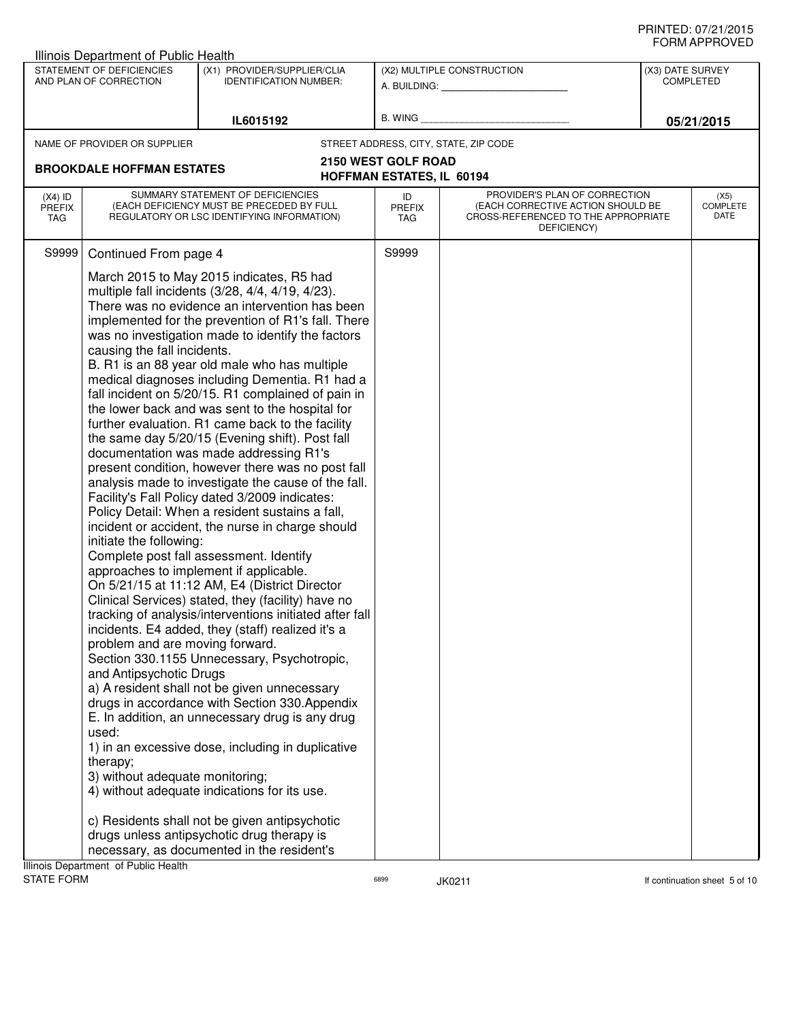|                      | <b>Illinois Department of Public Health</b> |                                                                                                              |                                  |                                                                          |                  |                               |
|----------------------|---------------------------------------------|--------------------------------------------------------------------------------------------------------------|----------------------------------|--------------------------------------------------------------------------|------------------|-------------------------------|
|                      | STATEMENT OF DEFICIENCIES                   | (X1) PROVIDER/SUPPLIER/CLIA                                                                                  |                                  | (X2) MULTIPLE CONSTRUCTION                                               | (X3) DATE SURVEY |                               |
|                      | AND PLAN OF CORRECTION                      | <b>IDENTIFICATION NUMBER:</b>                                                                                |                                  | A. BUILDING: A. BUILDING:                                                |                  | <b>COMPLETED</b>              |
|                      |                                             |                                                                                                              |                                  |                                                                          |                  |                               |
|                      |                                             | IL6015192                                                                                                    | B. WING                          |                                                                          |                  | 05/21/2015                    |
|                      | NAME OF PROVIDER OR SUPPLIER                |                                                                                                              |                                  | STREET ADDRESS, CITY, STATE, ZIP CODE                                    |                  |                               |
|                      |                                             |                                                                                                              | 2150 WEST GOLF ROAD              |                                                                          |                  |                               |
|                      | <b>BROOKDALE HOFFMAN ESTATES</b>            |                                                                                                              | <b>HOFFMAN ESTATES, IL 60194</b> |                                                                          |                  |                               |
| $(X4)$ ID            |                                             | SUMMARY STATEMENT OF DEFICIENCIES                                                                            | ID                               | PROVIDER'S PLAN OF CORRECTION                                            |                  | (X5)                          |
| <b>PREFIX</b><br>TAG |                                             | (EACH DEFICIENCY MUST BE PRECEDED BY FULL<br>REGULATORY OR LSC IDENTIFYING INFORMATION)                      | <b>PREFIX</b><br>TAG             | (EACH CORRECTIVE ACTION SHOULD BE<br>CROSS-REFERENCED TO THE APPROPRIATE |                  | <b>COMPLETE</b><br>DATE       |
|                      |                                             |                                                                                                              |                                  | DEFICIENCY)                                                              |                  |                               |
| S9999                | Continued From page 4                       |                                                                                                              | S9999                            |                                                                          |                  |                               |
|                      |                                             |                                                                                                              |                                  |                                                                          |                  |                               |
|                      |                                             | March 2015 to May 2015 indicates, R5 had<br>multiple fall incidents (3/28, 4/4, 4/19, 4/23).                 |                                  |                                                                          |                  |                               |
|                      |                                             | There was no evidence an intervention has been                                                               |                                  |                                                                          |                  |                               |
|                      |                                             | implemented for the prevention of R1's fall. There                                                           |                                  |                                                                          |                  |                               |
|                      |                                             | was no investigation made to identify the factors                                                            |                                  |                                                                          |                  |                               |
|                      | causing the fall incidents.                 |                                                                                                              |                                  |                                                                          |                  |                               |
|                      |                                             | B. R1 is an 88 year old male who has multiple                                                                |                                  |                                                                          |                  |                               |
|                      |                                             | medical diagnoses including Dementia. R1 had a                                                               |                                  |                                                                          |                  |                               |
|                      |                                             | fall incident on 5/20/15. R1 complained of pain in<br>the lower back and was sent to the hospital for        |                                  |                                                                          |                  |                               |
|                      |                                             | further evaluation. R1 came back to the facility                                                             |                                  |                                                                          |                  |                               |
|                      |                                             | the same day 5/20/15 (Evening shift). Post fall                                                              |                                  |                                                                          |                  |                               |
|                      |                                             | documentation was made addressing R1's                                                                       |                                  |                                                                          |                  |                               |
|                      |                                             | present condition, however there was no post fall                                                            |                                  |                                                                          |                  |                               |
|                      |                                             | analysis made to investigate the cause of the fall.                                                          |                                  |                                                                          |                  |                               |
|                      |                                             | Facility's Fall Policy dated 3/2009 indicates:<br>Policy Detail: When a resident sustains a fall,            |                                  |                                                                          |                  |                               |
|                      |                                             | incident or accident, the nurse in charge should                                                             |                                  |                                                                          |                  |                               |
|                      | initiate the following:                     |                                                                                                              |                                  |                                                                          |                  |                               |
|                      |                                             | Complete post fall assessment. Identify                                                                      |                                  |                                                                          |                  |                               |
|                      |                                             | approaches to implement if applicable.                                                                       |                                  |                                                                          |                  |                               |
|                      |                                             | On 5/21/15 at 11:12 AM, E4 (District Director                                                                |                                  |                                                                          |                  |                               |
|                      |                                             | Clinical Services) stated, they (facility) have no                                                           |                                  |                                                                          |                  |                               |
|                      |                                             | tracking of analysis/interventions initiated after fall<br>incidents. E4 added, they (staff) realized it's a |                                  |                                                                          |                  |                               |
|                      | problem and are moving forward.             |                                                                                                              |                                  |                                                                          |                  |                               |
|                      |                                             | Section 330.1155 Unnecessary, Psychotropic,                                                                  |                                  |                                                                          |                  |                               |
|                      | and Antipsychotic Drugs                     |                                                                                                              |                                  |                                                                          |                  |                               |
|                      |                                             | a) A resident shall not be given unnecessary                                                                 |                                  |                                                                          |                  |                               |
|                      |                                             | drugs in accordance with Section 330.Appendix                                                                |                                  |                                                                          |                  |                               |
|                      | used:                                       | E. In addition, an unnecessary drug is any drug                                                              |                                  |                                                                          |                  |                               |
|                      |                                             | 1) in an excessive dose, including in duplicative                                                            |                                  |                                                                          |                  |                               |
|                      | therapy;                                    |                                                                                                              |                                  |                                                                          |                  |                               |
|                      | 3) without adequate monitoring;             |                                                                                                              |                                  |                                                                          |                  |                               |
|                      |                                             | 4) without adequate indications for its use.                                                                 |                                  |                                                                          |                  |                               |
|                      |                                             |                                                                                                              |                                  |                                                                          |                  |                               |
|                      |                                             | c) Residents shall not be given antipsychotic                                                                |                                  |                                                                          |                  |                               |
|                      |                                             | drugs unless antipsychotic drug therapy is<br>necessary, as documented in the resident's                     |                                  |                                                                          |                  |                               |
|                      | Illinois Department of Public Health        |                                                                                                              |                                  |                                                                          |                  |                               |
| <b>STATE FORM</b>    |                                             |                                                                                                              | 6899                             | JK0211                                                                   |                  | If continuation sheet 5 of 10 |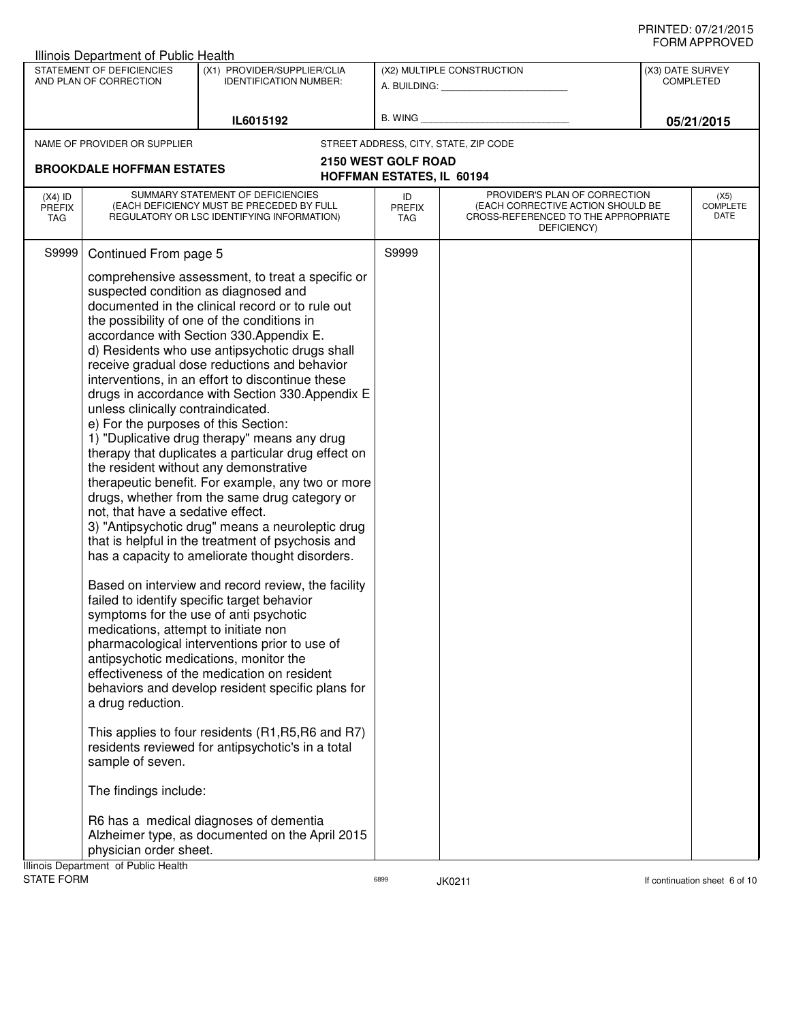|                            | Illinois Department of Public Health                |                                                                                             |                                  |                                                                    |                  |                               |
|----------------------------|-----------------------------------------------------|---------------------------------------------------------------------------------------------|----------------------------------|--------------------------------------------------------------------|------------------|-------------------------------|
|                            | STATEMENT OF DEFICIENCIES<br>AND PLAN OF CORRECTION | (X1) PROVIDER/SUPPLIER/CLIA                                                                 |                                  | (X2) MULTIPLE CONSTRUCTION                                         | (X3) DATE SURVEY |                               |
|                            |                                                     | <b>IDENTIFICATION NUMBER:</b>                                                               |                                  | A. BUILDING: A. BUILDING:                                          |                  | <b>COMPLETED</b>              |
|                            |                                                     |                                                                                             |                                  |                                                                    |                  |                               |
|                            |                                                     | IL6015192                                                                                   | B. WING                          |                                                                    |                  | 05/21/2015                    |
|                            | NAME OF PROVIDER OR SUPPLIER                        |                                                                                             |                                  | STREET ADDRESS, CITY, STATE, ZIP CODE                              |                  |                               |
|                            | <b>BROOKDALE HOFFMAN ESTATES</b>                    |                                                                                             | 2150 WEST GOLF ROAD              |                                                                    |                  |                               |
|                            |                                                     |                                                                                             | <b>HOFFMAN ESTATES, IL 60194</b> |                                                                    |                  |                               |
| $(X4)$ ID<br><b>PREFIX</b> |                                                     | SUMMARY STATEMENT OF DEFICIENCIES<br>(EACH DEFICIENCY MUST BE PRECEDED BY FULL              | ID<br><b>PREFIX</b>              | PROVIDER'S PLAN OF CORRECTION<br>(EACH CORRECTIVE ACTION SHOULD BE |                  | (X5)<br><b>COMPLETE</b>       |
| TAG                        |                                                     | REGULATORY OR LSC IDENTIFYING INFORMATION)                                                  | TAG                              | CROSS-REFERENCED TO THE APPROPRIATE                                |                  | DATE                          |
|                            |                                                     |                                                                                             |                                  | DEFICIENCY)                                                        |                  |                               |
| S9999                      | Continued From page 5                               |                                                                                             | S9999                            |                                                                    |                  |                               |
|                            |                                                     | comprehensive assessment, to treat a specific or                                            |                                  |                                                                    |                  |                               |
|                            |                                                     | suspected condition as diagnosed and                                                        |                                  |                                                                    |                  |                               |
|                            |                                                     | documented in the clinical record or to rule out                                            |                                  |                                                                    |                  |                               |
|                            |                                                     | the possibility of one of the conditions in<br>accordance with Section 330.Appendix E.      |                                  |                                                                    |                  |                               |
|                            |                                                     | d) Residents who use antipsychotic drugs shall                                              |                                  |                                                                    |                  |                               |
|                            |                                                     | receive gradual dose reductions and behavior                                                |                                  |                                                                    |                  |                               |
|                            |                                                     | interventions, in an effort to discontinue these                                            |                                  |                                                                    |                  |                               |
|                            | unless clinically contraindicated.                  | drugs in accordance with Section 330. Appendix E                                            |                                  |                                                                    |                  |                               |
|                            | e) For the purposes of this Section:                |                                                                                             |                                  |                                                                    |                  |                               |
|                            |                                                     | 1) "Duplicative drug therapy" means any drug                                                |                                  |                                                                    |                  |                               |
|                            |                                                     | therapy that duplicates a particular drug effect on                                         |                                  |                                                                    |                  |                               |
|                            |                                                     | the resident without any demonstrative<br>therapeutic benefit. For example, any two or more |                                  |                                                                    |                  |                               |
|                            |                                                     | drugs, whether from the same drug category or                                               |                                  |                                                                    |                  |                               |
|                            | not, that have a sedative effect.                   |                                                                                             |                                  |                                                                    |                  |                               |
|                            |                                                     | 3) "Antipsychotic drug" means a neuroleptic drug                                            |                                  |                                                                    |                  |                               |
|                            |                                                     | that is helpful in the treatment of psychosis and                                           |                                  |                                                                    |                  |                               |
|                            |                                                     | has a capacity to ameliorate thought disorders.                                             |                                  |                                                                    |                  |                               |
|                            |                                                     | Based on interview and record review, the facility                                          |                                  |                                                                    |                  |                               |
|                            |                                                     | failed to identify specific target behavior                                                 |                                  |                                                                    |                  |                               |
|                            |                                                     | symptoms for the use of anti psychotic                                                      |                                  |                                                                    |                  |                               |
|                            | medications, attempt to initiate non                |                                                                                             |                                  |                                                                    |                  |                               |
|                            |                                                     | pharmacological interventions prior to use of<br>antipsychotic medications, monitor the     |                                  |                                                                    |                  |                               |
|                            |                                                     | effectiveness of the medication on resident                                                 |                                  |                                                                    |                  |                               |
|                            |                                                     | behaviors and develop resident specific plans for                                           |                                  |                                                                    |                  |                               |
|                            | a drug reduction.                                   |                                                                                             |                                  |                                                                    |                  |                               |
|                            |                                                     | This applies to four residents (R1, R5, R6 and R7)                                          |                                  |                                                                    |                  |                               |
|                            |                                                     | residents reviewed for antipsychotic's in a total                                           |                                  |                                                                    |                  |                               |
|                            | sample of seven.                                    |                                                                                             |                                  |                                                                    |                  |                               |
|                            |                                                     |                                                                                             |                                  |                                                                    |                  |                               |
|                            | The findings include:                               |                                                                                             |                                  |                                                                    |                  |                               |
|                            |                                                     | R6 has a medical diagnoses of dementia                                                      |                                  |                                                                    |                  |                               |
|                            |                                                     | Alzheimer type, as documented on the April 2015                                             |                                  |                                                                    |                  |                               |
|                            | physician order sheet.                              |                                                                                             |                                  |                                                                    |                  |                               |
|                            | Illinois Department of Public Health                |                                                                                             |                                  |                                                                    |                  |                               |
| <b>STATE FORM</b>          |                                                     |                                                                                             | 6899                             | JK0211                                                             |                  | If continuation sheet 6 of 10 |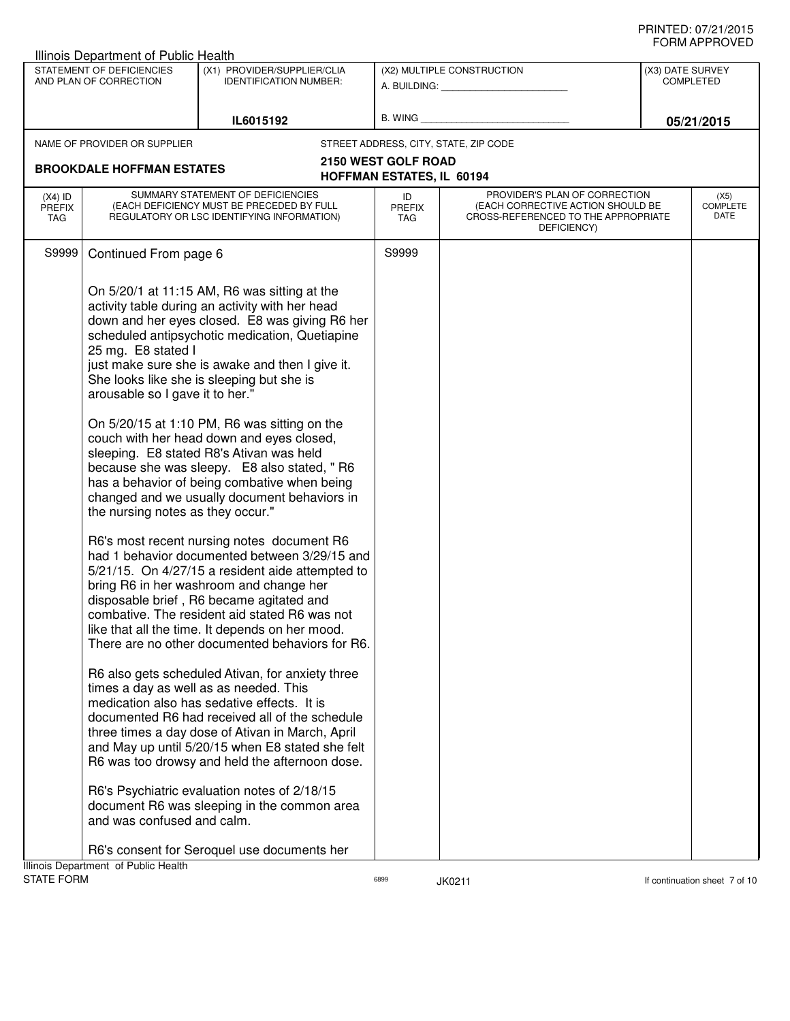|                                   | Illinois Department of Public Health                                                                                     |                                                                                                                                                                                                                                                                                                                                                                                                                                                                                                                                                                                                                                                                                                                                                                                                                                                                                                                                                                                                                                                                                                                                                                                                                                                                                                                                                                                                                                                      |                                  |                                                                                                                          |                  |                                 |
|-----------------------------------|--------------------------------------------------------------------------------------------------------------------------|------------------------------------------------------------------------------------------------------------------------------------------------------------------------------------------------------------------------------------------------------------------------------------------------------------------------------------------------------------------------------------------------------------------------------------------------------------------------------------------------------------------------------------------------------------------------------------------------------------------------------------------------------------------------------------------------------------------------------------------------------------------------------------------------------------------------------------------------------------------------------------------------------------------------------------------------------------------------------------------------------------------------------------------------------------------------------------------------------------------------------------------------------------------------------------------------------------------------------------------------------------------------------------------------------------------------------------------------------------------------------------------------------------------------------------------------------|----------------------------------|--------------------------------------------------------------------------------------------------------------------------|------------------|---------------------------------|
|                                   | STATEMENT OF DEFICIENCIES<br>AND PLAN OF CORRECTION                                                                      | (X1) PROVIDER/SUPPLIER/CLIA<br><b>IDENTIFICATION NUMBER:</b>                                                                                                                                                                                                                                                                                                                                                                                                                                                                                                                                                                                                                                                                                                                                                                                                                                                                                                                                                                                                                                                                                                                                                                                                                                                                                                                                                                                         |                                  | (X2) MULTIPLE CONSTRUCTION<br>A. BUILDING: A. BUILDING:                                                                  | (X3) DATE SURVEY | <b>COMPLETED</b>                |
|                                   |                                                                                                                          | IL6015192                                                                                                                                                                                                                                                                                                                                                                                                                                                                                                                                                                                                                                                                                                                                                                                                                                                                                                                                                                                                                                                                                                                                                                                                                                                                                                                                                                                                                                            | B. WING                          |                                                                                                                          |                  | 05/21/2015                      |
|                                   | NAME OF PROVIDER OR SUPPLIER                                                                                             |                                                                                                                                                                                                                                                                                                                                                                                                                                                                                                                                                                                                                                                                                                                                                                                                                                                                                                                                                                                                                                                                                                                                                                                                                                                                                                                                                                                                                                                      |                                  | STREET ADDRESS, CITY, STATE, ZIP CODE                                                                                    |                  |                                 |
|                                   |                                                                                                                          |                                                                                                                                                                                                                                                                                                                                                                                                                                                                                                                                                                                                                                                                                                                                                                                                                                                                                                                                                                                                                                                                                                                                                                                                                                                                                                                                                                                                                                                      | 2150 WEST GOLF ROAD              |                                                                                                                          |                  |                                 |
|                                   | <b>BROOKDALE HOFFMAN ESTATES</b>                                                                                         |                                                                                                                                                                                                                                                                                                                                                                                                                                                                                                                                                                                                                                                                                                                                                                                                                                                                                                                                                                                                                                                                                                                                                                                                                                                                                                                                                                                                                                                      | <b>HOFFMAN ESTATES, IL 60194</b> |                                                                                                                          |                  |                                 |
| $(X4)$ ID<br><b>PREFIX</b><br>TAG |                                                                                                                          | SUMMARY STATEMENT OF DEFICIENCIES<br>(EACH DEFICIENCY MUST BE PRECEDED BY FULL<br>REGULATORY OR LSC IDENTIFYING INFORMATION)                                                                                                                                                                                                                                                                                                                                                                                                                                                                                                                                                                                                                                                                                                                                                                                                                                                                                                                                                                                                                                                                                                                                                                                                                                                                                                                         | ID<br><b>PREFIX</b><br>TAG       | PROVIDER'S PLAN OF CORRECTION<br>(EACH CORRECTIVE ACTION SHOULD BE<br>CROSS-REFERENCED TO THE APPROPRIATE<br>DEFICIENCY) |                  | (X5)<br><b>COMPLETE</b><br>DATE |
| S9999                             | Continued From page 6                                                                                                    |                                                                                                                                                                                                                                                                                                                                                                                                                                                                                                                                                                                                                                                                                                                                                                                                                                                                                                                                                                                                                                                                                                                                                                                                                                                                                                                                                                                                                                                      | S9999                            |                                                                                                                          |                  |                                 |
|                                   | 25 mg. E8 stated I<br>arousable so I gave it to her."<br>the nursing notes as they occur."<br>and was confused and calm. | On 5/20/1 at 11:15 AM, R6 was sitting at the<br>activity table during an activity with her head<br>down and her eyes closed. E8 was giving R6 her<br>scheduled antipsychotic medication, Quetiapine<br>just make sure she is awake and then I give it.<br>She looks like she is sleeping but she is<br>On 5/20/15 at 1:10 PM, R6 was sitting on the<br>couch with her head down and eyes closed,<br>sleeping. E8 stated R8's Ativan was held<br>because she was sleepy. E8 also stated, "R6<br>has a behavior of being combative when being<br>changed and we usually document behaviors in<br>R6's most recent nursing notes document R6<br>had 1 behavior documented between 3/29/15 and<br>5/21/15. On 4/27/15 a resident aide attempted to<br>bring R6 in her washroom and change her<br>disposable brief, R6 became agitated and<br>combative. The resident aid stated R6 was not<br>like that all the time. It depends on her mood.<br>There are no other documented behaviors for R6.<br>R6 also gets scheduled Ativan, for anxiety three<br>times a day as well as as needed. This<br>medication also has sedative effects. It is<br>documented R6 had received all of the schedule<br>three times a day dose of Ativan in March, April<br>and May up until 5/20/15 when E8 stated she felt<br>R6 was too drowsy and held the afternoon dose.<br>R6's Psychiatric evaluation notes of 2/18/15<br>document R6 was sleeping in the common area |                                  |                                                                                                                          |                  |                                 |
|                                   | Illinois Department of Public Health                                                                                     | R6's consent for Seroquel use documents her                                                                                                                                                                                                                                                                                                                                                                                                                                                                                                                                                                                                                                                                                                                                                                                                                                                                                                                                                                                                                                                                                                                                                                                                                                                                                                                                                                                                          |                                  |                                                                                                                          |                  |                                 |
| <b>STATE FORM</b>                 |                                                                                                                          |                                                                                                                                                                                                                                                                                                                                                                                                                                                                                                                                                                                                                                                                                                                                                                                                                                                                                                                                                                                                                                                                                                                                                                                                                                                                                                                                                                                                                                                      | 6899                             | JK0211                                                                                                                   |                  | If continuation sheet 7 of 10   |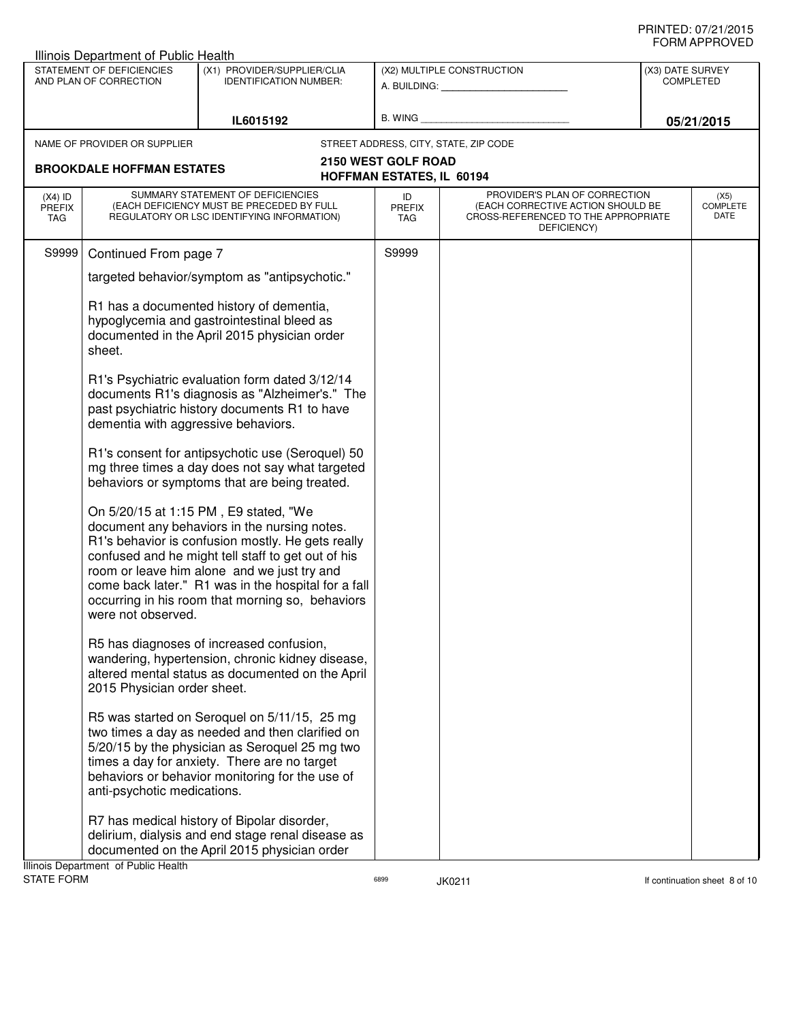|                                                                                                                     | Illinois Department of Public Health |                                                                                                                                                                                                                                                                                                                                                            |                                                         |                                                                                                                          |                                      |                                 |
|---------------------------------------------------------------------------------------------------------------------|--------------------------------------|------------------------------------------------------------------------------------------------------------------------------------------------------------------------------------------------------------------------------------------------------------------------------------------------------------------------------------------------------------|---------------------------------------------------------|--------------------------------------------------------------------------------------------------------------------------|--------------------------------------|---------------------------------|
| STATEMENT OF DEFICIENCIES<br>(X1) PROVIDER/SUPPLIER/CLIA<br>AND PLAN OF CORRECTION<br><b>IDENTIFICATION NUMBER:</b> |                                      |                                                                                                                                                                                                                                                                                                                                                            | (X2) MULTIPLE CONSTRUCTION<br>A. BUILDING: A. BUILDING: |                                                                                                                          | (X3) DATE SURVEY<br><b>COMPLETED</b> |                                 |
|                                                                                                                     |                                      | IL6015192                                                                                                                                                                                                                                                                                                                                                  | <b>B. WING</b>                                          |                                                                                                                          |                                      | 05/21/2015                      |
|                                                                                                                     | NAME OF PROVIDER OR SUPPLIER         |                                                                                                                                                                                                                                                                                                                                                            |                                                         | STREET ADDRESS, CITY, STATE, ZIP CODE                                                                                    |                                      |                                 |
|                                                                                                                     | <b>BROOKDALE HOFFMAN ESTATES</b>     |                                                                                                                                                                                                                                                                                                                                                            | 2150 WEST GOLF ROAD<br>HOFFMAN ESTATES, IL 60194        |                                                                                                                          |                                      |                                 |
| $(X4)$ ID<br><b>PREFIX</b><br>TAG                                                                                   |                                      | SUMMARY STATEMENT OF DEFICIENCIES<br>(EACH DEFICIENCY MUST BE PRECEDED BY FULL<br>REGULATORY OR LSC IDENTIFYING INFORMATION)                                                                                                                                                                                                                               | ID<br><b>PREFIX</b><br><b>TAG</b>                       | PROVIDER'S PLAN OF CORRECTION<br>(EACH CORRECTIVE ACTION SHOULD BE<br>CROSS-REFERENCED TO THE APPROPRIATE<br>DEFICIENCY) |                                      | (X5)<br><b>COMPLETE</b><br>DATE |
| S9999                                                                                                               | Continued From page 7                |                                                                                                                                                                                                                                                                                                                                                            | S9999                                                   |                                                                                                                          |                                      |                                 |
|                                                                                                                     |                                      | targeted behavior/symptom as "antipsychotic."                                                                                                                                                                                                                                                                                                              |                                                         |                                                                                                                          |                                      |                                 |
|                                                                                                                     | sheet.                               | R1 has a documented history of dementia,<br>hypoglycemia and gastrointestinal bleed as<br>documented in the April 2015 physician order                                                                                                                                                                                                                     |                                                         |                                                                                                                          |                                      |                                 |
|                                                                                                                     | dementia with aggressive behaviors.  | R1's Psychiatric evaluation form dated 3/12/14<br>documents R1's diagnosis as "Alzheimer's." The<br>past psychiatric history documents R1 to have                                                                                                                                                                                                          |                                                         |                                                                                                                          |                                      |                                 |
|                                                                                                                     |                                      | R1's consent for antipsychotic use (Seroquel) 50<br>mg three times a day does not say what targeted<br>behaviors or symptoms that are being treated.                                                                                                                                                                                                       |                                                         |                                                                                                                          |                                      |                                 |
|                                                                                                                     | were not observed.                   | On 5/20/15 at 1:15 PM, E9 stated, "We<br>document any behaviors in the nursing notes.<br>R1's behavior is confusion mostly. He gets really<br>confused and he might tell staff to get out of his<br>room or leave him alone and we just try and<br>come back later." R1 was in the hospital for a fall<br>occurring in his room that morning so, behaviors |                                                         |                                                                                                                          |                                      |                                 |
|                                                                                                                     | 2015 Physician order sheet.          | R5 has diagnoses of increased confusion,<br>wandering, hypertension, chronic kidney disease,<br>altered mental status as documented on the April                                                                                                                                                                                                           |                                                         |                                                                                                                          |                                      |                                 |
|                                                                                                                     | anti-psychotic medications.          | R5 was started on Seroquel on 5/11/15, 25 mg<br>two times a day as needed and then clarified on<br>5/20/15 by the physician as Seroquel 25 mg two<br>times a day for anxiety. There are no target<br>behaviors or behavior monitoring for the use of                                                                                                       |                                                         |                                                                                                                          |                                      |                                 |
|                                                                                                                     | Illinois Department of Public Health | R7 has medical history of Bipolar disorder,<br>delirium, dialysis and end stage renal disease as<br>documented on the April 2015 physician order                                                                                                                                                                                                           |                                                         |                                                                                                                          |                                      |                                 |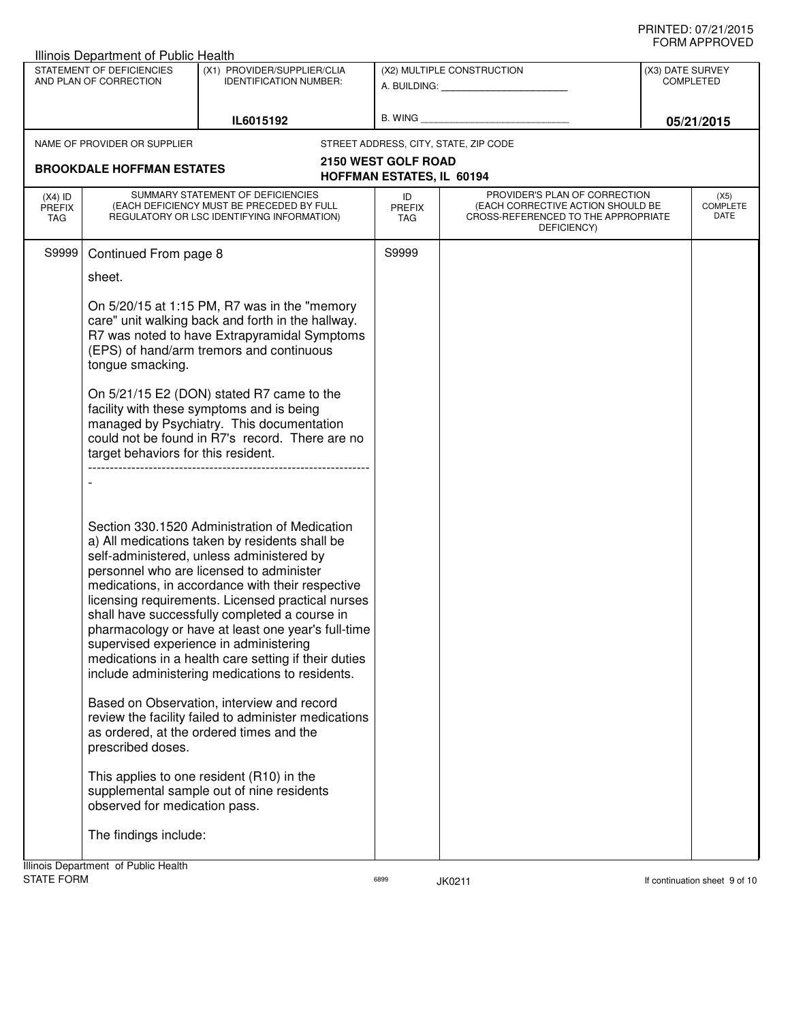|                                                                                                                     | <b>Illinois Department of Public Health</b>                                 |                                                                                                                                                                                                                                                                                                                                                                                                                                                                                                                                                                                                                                                                                                                 |                                                                                                                                                                                                                                                              |                                                                                                                          |                                      |                                 |
|---------------------------------------------------------------------------------------------------------------------|-----------------------------------------------------------------------------|-----------------------------------------------------------------------------------------------------------------------------------------------------------------------------------------------------------------------------------------------------------------------------------------------------------------------------------------------------------------------------------------------------------------------------------------------------------------------------------------------------------------------------------------------------------------------------------------------------------------------------------------------------------------------------------------------------------------|--------------------------------------------------------------------------------------------------------------------------------------------------------------------------------------------------------------------------------------------------------------|--------------------------------------------------------------------------------------------------------------------------|--------------------------------------|---------------------------------|
| STATEMENT OF DEFICIENCIES<br>(X1) PROVIDER/SUPPLIER/CLIA<br>AND PLAN OF CORRECTION<br><b>IDENTIFICATION NUMBER:</b> |                                                                             |                                                                                                                                                                                                                                                                                                                                                                                                                                                                                                                                                                                                                                                                                                                 | (X2) MULTIPLE CONSTRUCTION<br>A. BUILDING: A AND AND A STREAM OF THE STREAM OF THE STREAM OF THE STREAM OF THE STREAM OF THE STREAM OF THE STREAM OF THE STREAM OF THE STREAM OF THE STREAM OF THE STREAM OF THE STREAM OF THE STREAM OF THE STREAM OF THE S |                                                                                                                          | (X3) DATE SURVEY<br><b>COMPLETED</b> |                                 |
|                                                                                                                     |                                                                             | IL6015192                                                                                                                                                                                                                                                                                                                                                                                                                                                                                                                                                                                                                                                                                                       | B. WING                                                                                                                                                                                                                                                      |                                                                                                                          |                                      | 05/21/2015                      |
|                                                                                                                     | NAME OF PROVIDER OR SUPPLIER                                                |                                                                                                                                                                                                                                                                                                                                                                                                                                                                                                                                                                                                                                                                                                                 |                                                                                                                                                                                                                                                              | STREET ADDRESS, CITY, STATE, ZIP CODE                                                                                    |                                      |                                 |
|                                                                                                                     | <b>BROOKDALE HOFFMAN ESTATES</b>                                            |                                                                                                                                                                                                                                                                                                                                                                                                                                                                                                                                                                                                                                                                                                                 | 2150 WEST GOLF ROAD<br><b>HOFFMAN ESTATES, IL 60194</b>                                                                                                                                                                                                      |                                                                                                                          |                                      |                                 |
| $(X4)$ ID<br><b>PREFIX</b><br><b>TAG</b>                                                                            |                                                                             | SUMMARY STATEMENT OF DEFICIENCIES<br>(EACH DEFICIENCY MUST BE PRECEDED BY FULL<br>REGULATORY OR LSC IDENTIFYING INFORMATION)                                                                                                                                                                                                                                                                                                                                                                                                                                                                                                                                                                                    | ID<br><b>PREFIX</b><br>TAG                                                                                                                                                                                                                                   | PROVIDER'S PLAN OF CORRECTION<br>(EACH CORRECTIVE ACTION SHOULD BE<br>CROSS-REFERENCED TO THE APPROPRIATE<br>DEFICIENCY) |                                      | (X5)<br><b>COMPLETE</b><br>DATE |
| S9999                                                                                                               | Continued From page 8                                                       |                                                                                                                                                                                                                                                                                                                                                                                                                                                                                                                                                                                                                                                                                                                 | S9999                                                                                                                                                                                                                                                        |                                                                                                                          |                                      |                                 |
|                                                                                                                     | sheet.                                                                      |                                                                                                                                                                                                                                                                                                                                                                                                                                                                                                                                                                                                                                                                                                                 |                                                                                                                                                                                                                                                              |                                                                                                                          |                                      |                                 |
|                                                                                                                     | tongue smacking.                                                            | On 5/20/15 at 1:15 PM, R7 was in the "memory<br>care" unit walking back and forth in the hallway.<br>R7 was noted to have Extrapyramidal Symptoms<br>(EPS) of hand/arm tremors and continuous                                                                                                                                                                                                                                                                                                                                                                                                                                                                                                                   |                                                                                                                                                                                                                                                              |                                                                                                                          |                                      |                                 |
|                                                                                                                     | target behaviors for this resident.                                         | On 5/21/15 E2 (DON) stated R7 came to the<br>facility with these symptoms and is being<br>managed by Psychiatry. This documentation<br>could not be found in R7's record. There are no                                                                                                                                                                                                                                                                                                                                                                                                                                                                                                                          |                                                                                                                                                                                                                                                              |                                                                                                                          |                                      |                                 |
|                                                                                                                     |                                                                             |                                                                                                                                                                                                                                                                                                                                                                                                                                                                                                                                                                                                                                                                                                                 |                                                                                                                                                                                                                                                              |                                                                                                                          |                                      |                                 |
|                                                                                                                     |                                                                             | Section 330.1520 Administration of Medication<br>a) All medications taken by residents shall be<br>self-administered, unless administered by<br>personnel who are licensed to administer<br>medications, in accordance with their respective<br>licensing requirements. Licensed practical nurses<br>shall have successfully completed a course in<br>pharmacology or have at least one year's full-time<br>supervised experience in administering<br>medications in a health care setting if their duties<br>include administering medications to residents.<br>Based on Observation, interview and record<br>review the facility failed to administer medications<br>as ordered, at the ordered times and the |                                                                                                                                                                                                                                                              |                                                                                                                          |                                      |                                 |
|                                                                                                                     | prescribed doses.<br>observed for medication pass.<br>The findings include: | This applies to one resident (R10) in the<br>supplemental sample out of nine residents                                                                                                                                                                                                                                                                                                                                                                                                                                                                                                                                                                                                                          |                                                                                                                                                                                                                                                              |                                                                                                                          |                                      |                                 |
|                                                                                                                     | Illinois Department of Public Health                                        |                                                                                                                                                                                                                                                                                                                                                                                                                                                                                                                                                                                                                                                                                                                 |                                                                                                                                                                                                                                                              |                                                                                                                          |                                      |                                 |